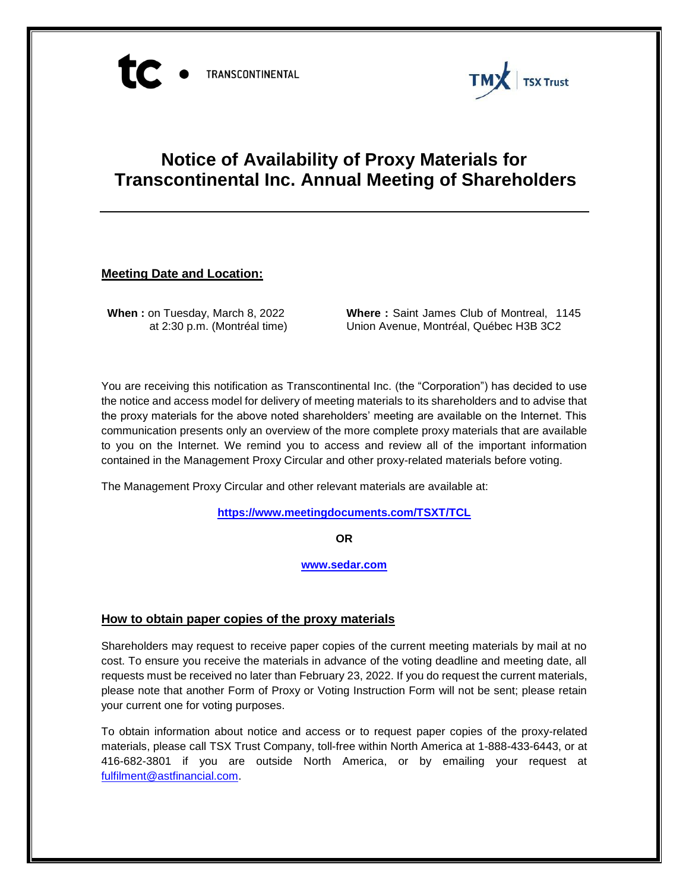



# **Notice of Availability of Proxy Materials for Transcontinental Inc. Annual Meeting of Shareholders**

## **Meeting Date and Location:**

**When :** on Tuesday, March 8, 2022 at 2:30 p.m. (Montréal time) **Where :** Saint James Club of Montreal, 1145 Union Avenue, Montréal, Québec H3B 3C2

You are receiving this notification as Transcontinental Inc. (the "Corporation") has decided to use the notice and access model for delivery of meeting materials to its shareholders and to advise that the proxy materials for the above noted shareholders' meeting are available on the Internet. This communication presents only an overview of the more complete proxy materials that are available to you on the Internet. We remind you to access and review all of the important information contained in the Management Proxy Circular and other proxy-related materials before voting.

The Management Proxy Circular and other relevant materials are available at:

**<https://www.meetingdocuments.com/TSXT/TCL>**

**OR**

**[www.sedar.com](http://www.sedar.com/)**

#### **How to obtain paper copies of the proxy materials**

Shareholders may request to receive paper copies of the current meeting materials by mail at no cost. To ensure you receive the materials in advance of the voting deadline and meeting date, all requests must be received no later than February 23, 2022. If you do request the current materials, please note that another Form of Proxy or Voting Instruction Form will not be sent; please retain your current one for voting purposes.

To obtain information about notice and access or to request paper copies of the proxy-related materials, please call TSX Trust Company, toll-free within North America at 1-888-433-6443, or at 416-682-3801 if you are outside North America, or by emailing your request at [fulfilment@astfinancial.com.](mailto:fulfilment@astfinancial.com)